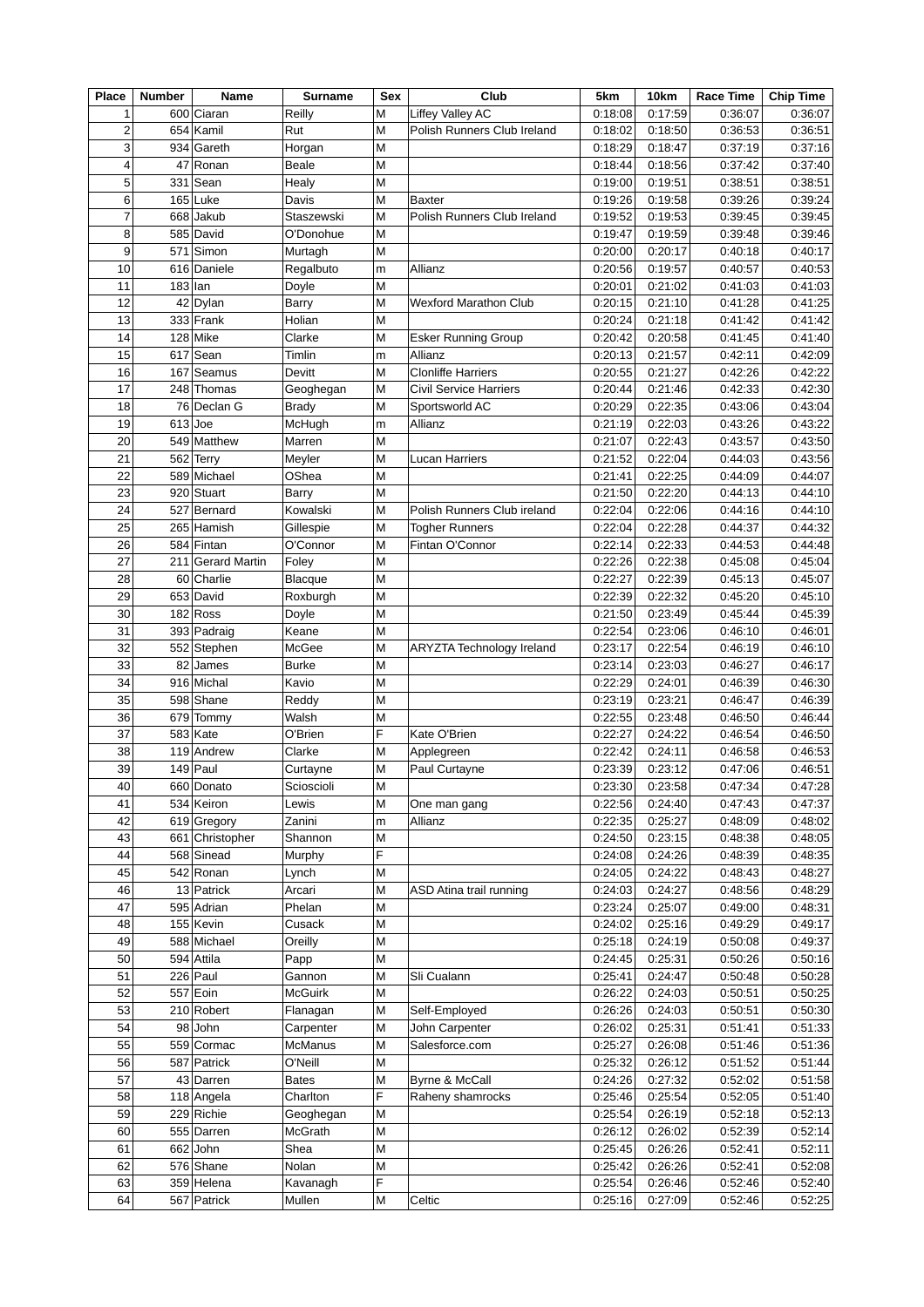| <b>Place</b>   | <b>Number</b> | Name              | <b>Surname</b> | Sex | Club                        | 5km     | 10km    | <b>Race Time</b> | <b>Chip Time</b> |
|----------------|---------------|-------------------|----------------|-----|-----------------------------|---------|---------|------------------|------------------|
| $\mathbf{1}$   |               | 600 Ciaran        | Reilly         | M   | Liffey Valley AC            | 0:18:08 | 0:17:59 | 0:36:07          | 0:36:07          |
| $\overline{c}$ |               | 654 Kamil         | Rut            | M   | Polish Runners Club Ireland | 0:18:02 | 0:18:50 | 0:36:53          | 0:36:51          |
| 3              |               | 934 Gareth        | Horgan         | M   |                             | 0:18:29 | 0:18:47 | 0:37:19          | 0:37:16          |
| 4              | 47            | Ronan             | <b>Beale</b>   | M   |                             | 0:18:44 | 0:18:56 | 0:37:42          | 0:37:40          |
| 5              |               | $331$ Sean        | Healy          | M   |                             | 0:19:00 | 0:19:51 | 0:38:51          | 0:38:51          |
| 6              |               | $165$ Luke        | Davis          | M   | <b>Baxter</b>               | 0:19:26 | 0:19:58 | 0:39:26          | 0:39:24          |
| $\overline{7}$ |               | 668 Jakub         | Staszewski     | M   | Polish Runners Club Ireland | 0:19:52 | 0:19:53 | 0:39:45          | 0:39:45          |
| 8              |               | 585 David         | O'Donohue      | M   |                             | 0:19:47 | 0:19:59 | 0:39:48          | 0:39:46          |
| 9              |               | 571 Simon         | Murtagh        | M   |                             | 0:20:00 | 0:20:17 | 0:40:18          | 0:40:17          |
| 10             |               | 616 Daniele       | Regalbuto      | m   | Allianz                     | 0:20:56 | 0:19:57 | 0:40:57          | 0:40:53          |
| 11             | $183$ Ian     |                   | Doyle          | M   |                             | 0:20:01 | 0:21:02 | 0:41:03          | 0:41:03          |
| 12             |               | $42$ Dylan        | Barry          | M   | Wexford Marathon Club       | 0:20:15 | 0:21:10 | 0:41:28          | 0:41:25          |
| 13             |               | 333 Frank         | Holian         | M   |                             | 0:20:24 | 0:21:18 | 0:41:42          | 0:41:42          |
| 14             |               | $128$ Mike        | Clarke         | M   | <b>Esker Running Group</b>  | 0:20:42 | 0:20:58 | 0:41:45          | 0:41:40          |
| 15             |               | $617$ Sean        | Timlin         | m   | Allianz                     | 0:20:13 | 0:21:57 | 0:42:11          | 0:42:09          |
| 16             |               | $167$ Seamus      | Devitt         | M   | <b>Clonliffe Harriers</b>   | 0:20:55 | 0:21:27 | 0:42:26          | 0:42:22          |
| 17             |               | 248 Thomas        | Geoghegan      | M   | Civil Service Harriers      | 0:20:44 | 0:21:46 | 0:42:33          | 0:42:30          |
| 18             | 76            | Declan G          | Brady          | M   | Sportsworld AC              | 0:20:29 | 0:22:35 | 0:43:06          | 0:43:04          |
| 19             | $613$ Joe     |                   | McHugh         | m   | Allianz                     | 0:21:19 | 0:22:03 | 0:43:26          | 0:43:22          |
| 20             | 549           | Matthew           | Marren         | M   |                             | 0:21:07 | 0:22:43 | 0:43:57          | 0:43:50          |
| 21             |               | 562 Terry         | Meyler         | M   | <b>Lucan Harriers</b>       | 0:21:52 | 0:22:04 | 0:44:03          | 0:43:56          |
| 22             |               | 589 Michael       | OShea          | M   |                             | 0:21:41 | 0:22:25 | 0:44:09          | 0:44:07          |
| 23             |               | 920 Stuart        | Barry          | M   |                             | 0:21:50 | 0:22:20 | 0:44:13          | 0:44:10          |
| 24             |               | 527 Bernard       | Kowalski       | M   | Polish Runners Club ireland | 0:22:04 | 0:22:06 | 0:44:16          | 0:44:10          |
| 25             | 265           | Hamish            | Gillespie      | M   | <b>Togher Runners</b>       | 0:22:04 | 0:22:28 | 0:44:37          | 0:44:32          |
| 26             |               | 584 Fintan        | O'Connor       | M   | Fintan O'Connor             | 0:22:14 | 0:22:33 | 0:44:53          | 0:44:48          |
| 27             |               | 211 Gerard Martin | Foley          | M   |                             | 0:22:26 | 0:22:38 | 0:45:08          | 0:45:04          |
| 28             |               | 60 Charlie        | <b>Blacque</b> | M   |                             | 0:22:27 | 0:22:39 | 0:45:13          | 0:45:07          |
| 29             |               | 653 David         | Roxburgh       | M   |                             | 0:22:39 | 0:22:32 | 0:45:20          | 0:45:10          |
| 30             |               | $182$ Ross        | Doyle          | M   |                             | 0:21:50 | 0:23:49 | 0:45:44          | 0:45:39          |
| 31             |               | 393 Padraig       | Keane          | M   |                             | 0:22:54 | 0:23:06 | 0:46:10          | 0:46:01          |
| 32             |               | 552 Stephen       | McGee          | M   | ARYZTA Technology Ireland   | 0:23:17 | 0:22:54 | 0:46:19          | 0:46:10          |
| 33             | 82            | James             | <b>Burke</b>   | M   |                             | 0:23:14 | 0:23:03 | 0:46:27          | 0:46:17          |
| 34             |               | 916 Michal        | Kavio          | M   |                             | 0:22:29 | 0:24:01 | 0:46:39          | 0:46:30          |
| 35             |               | 598 Shane         | Reddy          | M   |                             | 0:23:19 | 0:23:21 | 0:46:47          | 0:46:39          |
| 36             | 679           | Tommy             | Walsh          | M   |                             | 0:22:55 | 0:23:48 | 0:46:50          | 0:46:44          |
| 37             |               | $583$ Kate        | O'Brien        | F   | Kate O'Brien                | 0:22:27 | 0:24:22 | 0:46:54          | 0:46:50          |
| 38             | 119           | Andrew            | Clarke         | M   | Applegreen                  | 0:22:42 | 0:24:11 | 0:46:58          | 0:46:53          |
| 39             |               | $149$ Paul        | Curtayne       | M   | Paul Curtayne               | 0:23:39 | 0:23:12 | 0:47:06          | 0:46:51          |
| 40             |               | 660 Donato        | Scioscioli     | M   |                             | 0:23:30 | 0:23:58 | 0:47:34          | 0:47:28          |
| 41             |               | 534 Keiron        | Lewis          | M   | One man gang                | 0:22:56 | 0:24:40 | 0:47:43          | 0:47:37          |
| 42             |               | 619 Gregory       | Zanini         | m   | Allianz                     | 0:22:35 | 0:25:27 | 0:48:09          | 0:48:02          |
| 43             |               | 661 Christopher   | Shannon        | M   |                             | 0:24:50 | 0:23:15 | 0:48:38          | 0:48:05          |
| 44             |               | 568 Sinead        | Murphy         | F   |                             | 0:24:08 | 0:24:26 | 0:48:39          | 0:48:35          |
| 45             |               | 542 Ronan         | Lynch          | M   |                             | 0:24:05 | 0:24:22 | 0:48:43          | 0:48:27          |
| 46             |               | 13 Patrick        | Arcari         | M   | ASD Atina trail running     | 0:24:03 | 0:24:27 | 0:48:56          | 0:48:29          |
| 47             |               | 595 Adrian        | Phelan         | M   |                             | 0:23:24 | 0:25:07 | 0:49:00          | 0:48:31          |
| 48             |               | 155 Kevin         | Cusack         | M   |                             | 0:24:02 | 0:25:16 | 0:49:29          | 0:49:17          |
| 49             |               | 588 Michael       | Oreilly        | M   |                             | 0:25:18 | 0:24:19 | 0:50:08          | 0:49:37          |
| 50             |               | 594 Attila        | Papp           | M   |                             | 0:24:45 | 0:25:31 | 0:50:26          | 0:50:16          |
| 51             |               | $226$ Paul        | Gannon         | M   | Sli Cualann                 | 0:25:41 | 0:24:47 | 0:50:48          | 0:50:28          |
| 52             |               | 557 Eoin          | <b>McGuirk</b> | M   |                             | 0:26:22 | 0:24:03 | 0:50:51          | 0:50:25          |
| 53             |               | 210 Robert        | Flanagan       | M   | Self-Employed               | 0:26:26 | 0:24:03 | 0:50:51          | 0:50:30          |
| 54             |               | $98$ John         | Carpenter      | M   | John Carpenter              | 0:26:02 | 0:25:31 | 0:51:41          | 0:51:33          |
| 55             |               | 559 Cormac        | McManus        | M   | Salesforce.com              | 0:25:27 | 0:26:08 | 0:51:46          | 0:51:36          |
| 56             |               | 587 Patrick       | O'Neill        | M   |                             | 0:25:32 | 0:26:12 | 0:51:52          | 0:51:44          |
| 57             |               | 43 Darren         | <b>Bates</b>   | M   | Byrne & McCall              | 0:24:26 | 0:27:32 | 0:52:02          | 0:51:58          |
| 58             |               | $118$ Angela      | Charlton       | F   | Raheny shamrocks            | 0:25:46 | 0:25:54 | 0:52:05          | 0:51:40          |
| 59             |               | 229 Richie        | Geoghegan      | M   |                             | 0:25:54 | 0:26:19 | 0:52:18          | 0:52:13          |
| 60             |               | 555 Darren        | McGrath        | M   |                             | 0:26:12 | 0:26:02 | 0:52:39          | 0:52:14          |
| 61             |               | $662$ John        | Shea           | M   |                             | 0:25:45 | 0:26:26 | 0:52:41          | 0:52:11          |
| 62             |               | 576 Shane         | Nolan          | M   |                             | 0:25:42 | 0:26:26 | 0:52:41          | 0:52:08          |
| 63             |               | 359 Helena        | Kavanagh       | F   |                             | 0:25:54 | 0:26:46 | 0:52:46          | 0:52:40          |
| 64             |               | 567 Patrick       | Mullen         | M   | Celtic                      | 0:25:16 | 0:27:09 | 0:52:46          | 0:52:25          |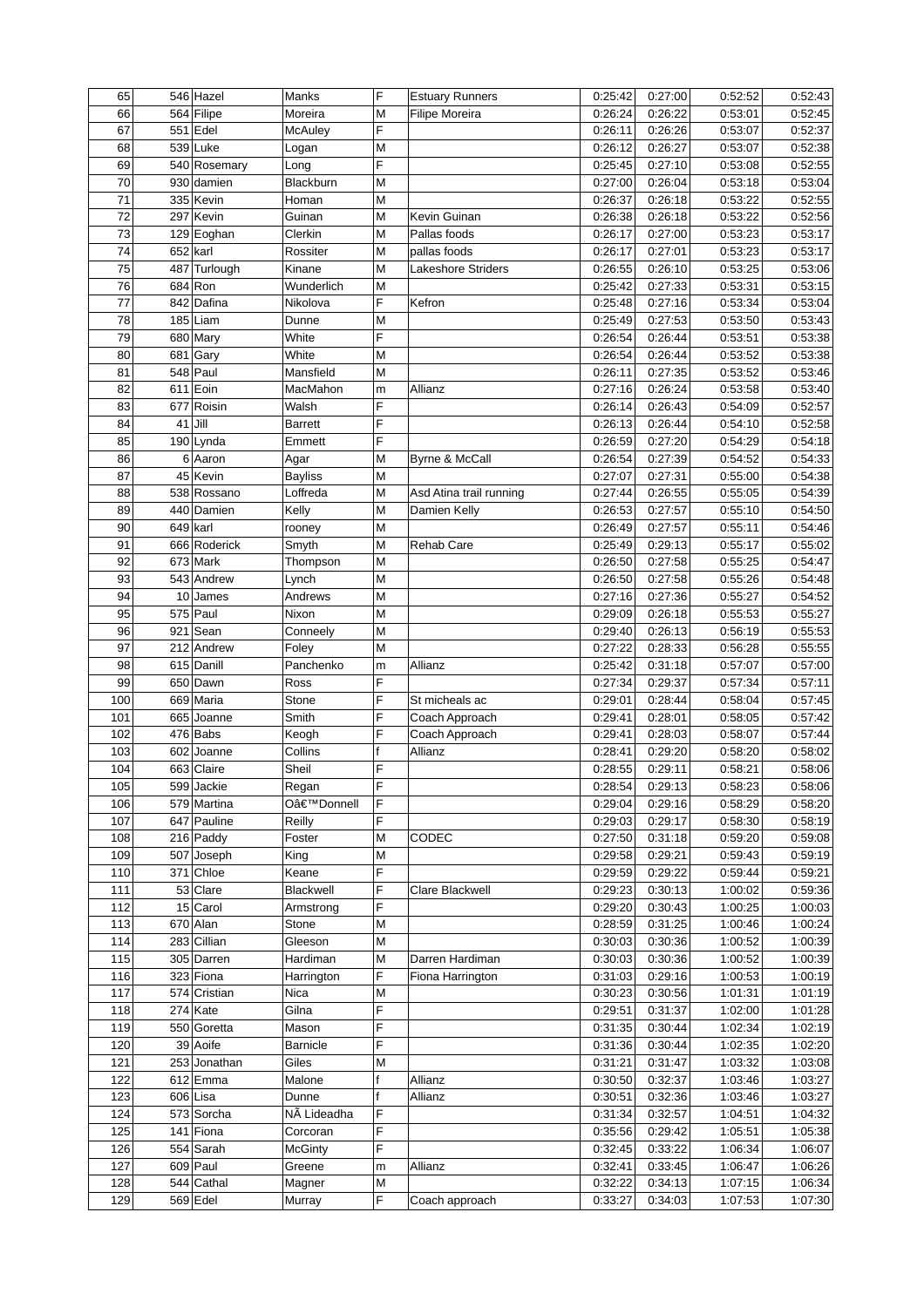| 65  |           | 546 Hazel    | Manks           | F | <b>Estuary Runners</b>  | 0:25:42 | 0:27:00 | 0:52:52 | 0:52:43 |
|-----|-----------|--------------|-----------------|---|-------------------------|---------|---------|---------|---------|
| 66  |           | 564 Filipe   | Moreira         | M | Filipe Moreira          | 0:26:24 | 0:26:22 | 0:53:01 | 0:52:45 |
| 67  |           | $551$ Edel   | McAuley         | F |                         | 0:26:11 | 0:26:26 | 0:53:07 | 0:52:37 |
| 68  |           | $539$ Luke   | Logan           | M |                         | 0:26:12 | 0:26:27 | 0:53:07 | 0:52:38 |
| 69  |           | 540 Rosemary | Long            | F |                         | 0:25:45 | 0:27:10 | 0:53:08 | 0:52:55 |
| 70  |           | 930 damien   | Blackburn       | M |                         | 0:27:00 | 0:26:04 | 0:53:18 | 0:53:04 |
| 71  |           | 335 Kevin    | Homan           | M |                         | 0:26:37 | 0:26:18 | 0:53:22 | 0:52:55 |
| 72  |           | 297 Kevin    | Guinan          | M | Kevin Guinan            | 0:26:38 | 0:26:18 | 0:53:22 | 0:52:56 |
| 73  |           | 129 Eoghan   | Clerkin         | M | Pallas foods            | 0:26:17 | 0:27:00 | 0:53:23 | 0:53:17 |
| 74  | 652 karl  |              | Rossiter        | M | pallas foods            | 0:26:17 | 0:27:01 | 0:53:23 | 0:53:17 |
| 75  |           | 487 Turlough | Kinane          | M | Lakeshore Striders      | 0:26:55 | 0:26:10 | 0:53:25 | 0:53:06 |
| 76  |           | $684$ Ron    | Wunderlich      | M |                         | 0:25:42 | 0:27:33 | 0:53:31 | 0:53:15 |
| 77  |           | 842 Dafina   | Nikolova        | E | Kefron                  | 0:25:48 | 0:27:16 | 0:53:34 | 0:53:04 |
| 78  |           | $185$ Liam   | Dunne           | M |                         | 0:25:49 | 0:27:53 | 0:53:50 | 0:53:43 |
| 79  |           | $680$ Mary   | White           | F |                         | 0:26:54 | 0:26:44 | 0:53:51 | 0:53:38 |
| 80  |           | $681$ Gary   | White           | M |                         | 0:26:54 | 0:26:44 | 0:53:52 | 0:53:38 |
| 81  |           | $548$ Paul   | Mansfield       | M |                         | 0:26:11 | 0:27:35 | 0:53:52 | 0:53:46 |
| 82  |           | $611$ Eoin   | MacMahon        | m | Allianz                 | 0:27:16 | 0:26:24 | 0:53:58 | 0:53:40 |
| 83  |           | 677 Roisin   | Walsh           | F |                         | 0:26:14 | 0:26:43 | 0:54:09 | 0:52:57 |
|     |           |              |                 | F |                         | 0:26:13 |         |         |         |
| 84  | $41$ Jill |              | <b>Barrett</b>  |   |                         |         | 0:26:44 | 0:54:10 | 0:52:58 |
| 85  |           | $190$ Lynda  | Emmett          | F |                         | 0:26:59 | 0:27:20 | 0:54:29 | 0:54:18 |
| 86  |           | $6$ Aaron    | Agar            | M | Byrne & McCall          | 0:26:54 | 0:27:39 | 0:54:52 | 0:54:33 |
| 87  |           | 45 Kevin     | <b>Bayliss</b>  | M |                         | 0:27:07 | 0:27:31 | 0:55:00 | 0:54:38 |
| 88  |           | 538 Rossano  | Loffreda        | M | Asd Atina trail running | 0:27:44 | 0:26:55 | 0:55:05 | 0:54:39 |
| 89  |           | 440 Damien   | Kelly           | M | Damien Kelly            | 0:26:53 | 0:27:57 | 0:55:10 | 0:54:50 |
| 90  | 649 karl  |              | rooney          | M |                         | 0:26:49 | 0:27:57 | 0:55:11 | 0:54:46 |
| 91  |           | 666 Roderick | Smyth           | M | <b>Rehab Care</b>       | 0:25:49 | 0:29:13 | 0:55:17 | 0:55:02 |
| 92  |           | $673$ Mark   | Thompson        | M |                         | 0:26:50 | 0:27:58 | 0:55:25 | 0:54:47 |
| 93  |           | 543 Andrew   | Lynch           | M |                         | 0:26:50 | 0:27:58 | 0:55:26 | 0:54:48 |
| 94  |           | $10$ James   | Andrews         | M |                         | 0:27:16 | 0:27:36 | 0:55:27 | 0:54:52 |
| 95  |           | $575$ Paul   | Nixon           | M |                         | 0:29:09 | 0:26:18 | 0:55:53 | 0:55:27 |
| 96  |           | $921$ Sean   | Conneely        | M |                         | 0:29:40 | 0:26:13 | 0:56:19 | 0:55:53 |
| 97  |           | 212 Andrew   | Foley           | M |                         | 0:27:22 | 0:28:33 | 0:56:28 | 0:55:55 |
| 98  |           | 615 Danill   | Panchenko       | m | Allianz                 | 0:25:42 | 0:31:18 | 0:57:07 | 0:57:00 |
| 99  |           | 650 Dawn     | Ross            | F |                         | 0:27:34 | 0:29:37 | 0:57:34 | 0:57:11 |
| 100 |           | 669 Maria    | Stone           | F | St micheals ac          | 0:29:01 | 0:28:44 | 0:58:04 | 0:57:45 |
| 101 |           | 665 Joanne   | Smith           | F | Coach Approach          | 0:29:41 | 0:28:01 | 0:58:05 | 0:57:42 |
| 102 |           | $476$ Babs   | Keogh           | F | Coach Approach          | 0:29:41 | 0:28:03 | 0:58:07 | 0:57:44 |
| 103 |           | 602 Joanne   | Collins         |   | Allianz                 | 0:28:41 | 0:29:20 | 0:58:20 | 0:58:02 |
| 104 |           | 663 Claire   | Sheil           | F |                         | 0:28:55 | 0:29:11 | 0:58:21 | 0:58:06 |
| 105 |           | 599 Jackie   | Regan           | ۲ |                         | 0:28:54 | 0:29:13 | 0:58:23 | 0:58:06 |
| 106 |           | 579 Martina  | O'Donnell       | E |                         | 0:29:04 | 0:29:16 | 0:58:29 | 0:58:20 |
| 107 |           | 647 Pauline  | Reilly          | F |                         | 0:29:03 | 0:29:17 | 0:58:30 | 0:58:19 |
| 108 |           | $216$ Paddy  | Foster          | M | CODEC                   | 0:27:50 | 0:31:18 | 0:59:20 | 0:59:08 |
| 109 |           | 507 Joseph   | King            | Μ |                         | 0:29:58 | 0:29:21 | 0:59:43 | 0:59:19 |
| 110 |           | 371 Chloe    | Keane           | F |                         | 0:29:59 | 0:29:22 | 0:59:44 | 0:59:21 |
| 111 |           | 53 Clare     | Blackwell       | F | Clare Blackwell         | 0:29:23 | 0:30:13 | 1:00:02 | 0:59:36 |
| 112 |           | $15 $ Carol  | Armstrong       | F |                         | 0:29:20 | 0:30:43 | 1:00:25 | 1:00:03 |
| 113 |           | $670$ Alan   | Stone           | M |                         | 0:28:59 | 0:31:25 | 1:00:46 | 1:00:24 |
| 114 |           | 283 Cillian  | Gleeson         | M |                         | 0:30:03 | 0:30:36 | 1:00:52 | 1:00:39 |
| 115 |           | 305 Darren   | Hardiman        | M | Darren Hardiman         | 0:30:03 | 0:30:36 | 1:00:52 | 1:00:39 |
| 116 |           | 323 Fiona    |                 | F |                         | 0:31:03 | 0:29:16 | 1:00:53 | 1:00:19 |
| 117 |           | 574 Cristian | Harrington      |   | Fiona Harrington        | 0:30:23 | 0:30:56 |         | 1:01:19 |
|     |           |              | Nica            | M |                         |         |         | 1:01:31 |         |
| 118 |           | $274$ Kate   | Gilna           | F |                         | 0:29:51 | 0:31:37 | 1:02:00 | 1:01:28 |
| 119 |           | 550 Goretta  | Mason           | F |                         | 0:31:35 | 0:30:44 | 1:02:34 | 1:02:19 |
| 120 |           | 39 Aoife     | <b>Barnicle</b> | F |                         | 0:31:36 | 0:30:44 | 1:02:35 | 1:02:20 |
| 121 |           | 253 Jonathan | Giles           | M |                         | 0:31:21 | 0:31:47 | 1:03:32 | 1:03:08 |
| 122 |           | $612$ Emma   | Malone          | f | Allianz                 | 0:30:50 | 0:32:37 | 1:03:46 | 1:03:27 |
| 123 |           | $606$ Lisa   | Dunne           |   | Allianz                 | 0:30:51 | 0:32:36 | 1:03:46 | 1:03:27 |
| 124 |           | 573 Sorcha   | NÃ Lideadha     | F |                         | 0:31:34 | 0:32:57 | 1:04:51 | 1:04:32 |
| 125 |           | 141 Fiona    | Corcoran        | F |                         | 0:35:56 | 0:29:42 | 1:05:51 | 1:05:38 |
| 126 |           | 554 Sarah    | <b>McGinty</b>  | F |                         | 0:32:45 | 0:33:22 | 1:06:34 | 1:06:07 |
| 127 |           | $609$ Paul   | Greene          | m | Allianz                 | 0:32:41 | 0:33:45 | 1:06:47 | 1:06:26 |
| 128 |           | $544$ Cathal | Magner          | M |                         | 0:32:22 | 0:34:13 | 1:07:15 | 1:06:34 |
| 129 |           | $569$ Edel   | Murray          | F | Coach approach          | 0:33:27 | 0:34:03 | 1:07:53 | 1:07:30 |